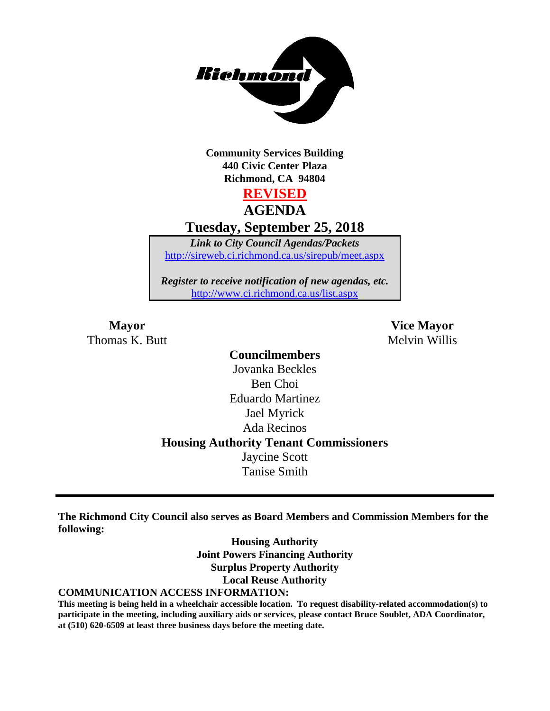

**Community Services Building 440 Civic Center Plaza Richmond, CA 94804**

**REVISED**

**AGENDA Tuesday, September 25, 2018**

*Link to City Council Agendas/Packets* <http://sireweb.ci.richmond.ca.us/sirepub/meet.aspx>

*Register to receive notification of new agendas, etc.* <http://www.ci.richmond.ca.us/list.aspx>

Thomas K. Butt Melvin Willis

**Mayor Vice Mayor**

## **Councilmembers** Jovanka Beckles Ben Choi Eduardo Martinez Jael Myrick Ada Recinos **Housing Authority Tenant Commissioners** Jaycine Scott Tanise Smith

**The Richmond City Council also serves as Board Members and Commission Members for the following:**

> **Housing Authority Joint Powers Financing Authority Surplus Property Authority Local Reuse Authority**

#### **COMMUNICATION ACCESS INFORMATION:**

**This meeting is being held in a wheelchair accessible location. To request disability-related accommodation(s) to participate in the meeting, including auxiliary aids or services, please contact Bruce Soublet, ADA Coordinator, at (510) 620-6509 at least three business days before the meeting date.**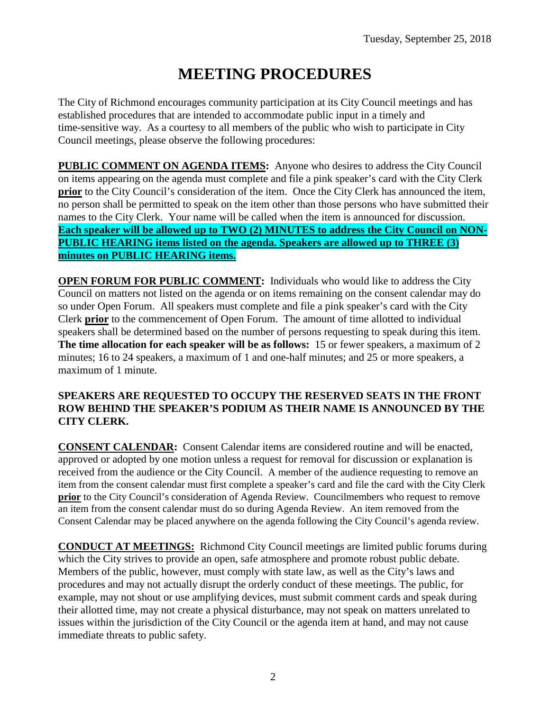# **MEETING PROCEDURES**

The City of Richmond encourages community participation at its City Council meetings and has established procedures that are intended to accommodate public input in a timely and time-sensitive way. As a courtesy to all members of the public who wish to participate in City Council meetings, please observe the following procedures:

**PUBLIC COMMENT ON AGENDA ITEMS:** Anyone who desires to address the City Council on items appearing on the agenda must complete and file a pink speaker's card with the City Clerk **prior** to the City Council's consideration of the item. Once the City Clerk has announced the item, no person shall be permitted to speak on the item other than those persons who have submitted their names to the City Clerk. Your name will be called when the item is announced for discussion. **Each speaker will be allowed up to TWO (2) MINUTES to address the City Council on NON-PUBLIC HEARING items listed on the agenda. Speakers are allowed up to THREE (3) minutes on PUBLIC HEARING items.**

**OPEN FORUM FOR PUBLIC COMMENT:** Individuals who would like to address the City Council on matters not listed on the agenda or on items remaining on the consent calendar may do so under Open Forum. All speakers must complete and file a pink speaker's card with the City Clerk **prior** to the commencement of Open Forum. The amount of time allotted to individual speakers shall be determined based on the number of persons requesting to speak during this item. **The time allocation for each speaker will be as follows:** 15 or fewer speakers, a maximum of 2 minutes; 16 to 24 speakers, a maximum of 1 and one-half minutes; and 25 or more speakers, a maximum of 1 minute.

#### **SPEAKERS ARE REQUESTED TO OCCUPY THE RESERVED SEATS IN THE FRONT ROW BEHIND THE SPEAKER'S PODIUM AS THEIR NAME IS ANNOUNCED BY THE CITY CLERK.**

**CONSENT CALENDAR:** Consent Calendar items are considered routine and will be enacted, approved or adopted by one motion unless a request for removal for discussion or explanation is received from the audience or the City Council. A member of the audience requesting to remove an item from the consent calendar must first complete a speaker's card and file the card with the City Clerk **prior** to the City Council's consideration of Agenda Review. Councilmembers who request to remove an item from the consent calendar must do so during Agenda Review. An item removed from the Consent Calendar may be placed anywhere on the agenda following the City Council's agenda review.

**CONDUCT AT MEETINGS:** Richmond City Council meetings are limited public forums during which the City strives to provide an open, safe atmosphere and promote robust public debate. Members of the public, however, must comply with state law, as well as the City's laws and procedures and may not actually disrupt the orderly conduct of these meetings. The public, for example, may not shout or use amplifying devices, must submit comment cards and speak during their allotted time, may not create a physical disturbance, may not speak on matters unrelated to issues within the jurisdiction of the City Council or the agenda item at hand, and may not cause immediate threats to public safety.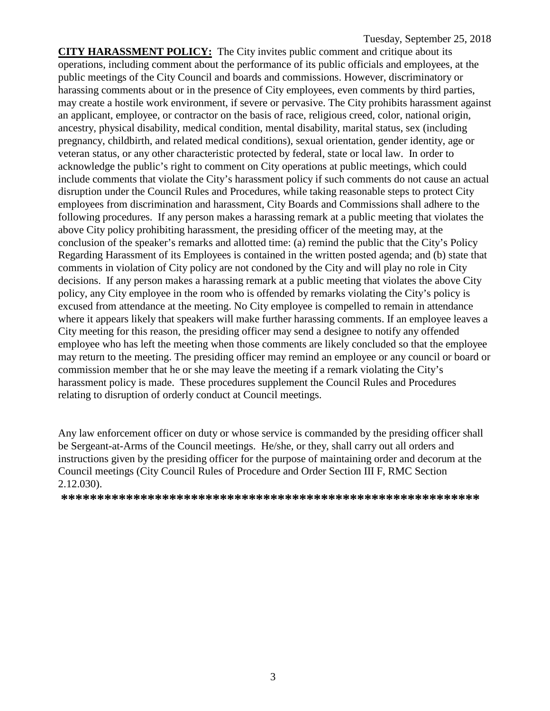**CITY HARASSMENT POLICY:** The City invites public comment and critique about its operations, including comment about the performance of its public officials and employees, at the public meetings of the City Council and boards and commissions. However, discriminatory or harassing comments about or in the presence of City employees, even comments by third parties, may create a hostile work environment, if severe or pervasive. The City prohibits harassment against an applicant, employee, or contractor on the basis of race, religious creed, color, national origin, ancestry, physical disability, medical condition, mental disability, marital status, sex (including pregnancy, childbirth, and related medical conditions), sexual orientation, gender identity, age or veteran status, or any other characteristic protected by federal, state or local law. In order to acknowledge the public's right to comment on City operations at public meetings, which could include comments that violate the City's harassment policy if such comments do not cause an actual disruption under the Council Rules and Procedures, while taking reasonable steps to protect City employees from discrimination and harassment, City Boards and Commissions shall adhere to the following procedures. If any person makes a harassing remark at a public meeting that violates the above City policy prohibiting harassment, the presiding officer of the meeting may, at the conclusion of the speaker's remarks and allotted time: (a) remind the public that the City's Policy Regarding Harassment of its Employees is contained in the written posted agenda; and (b) state that comments in violation of City policy are not condoned by the City and will play no role in City decisions. If any person makes a harassing remark at a public meeting that violates the above City policy, any City employee in the room who is offended by remarks violating the City's policy is excused from attendance at the meeting. No City employee is compelled to remain in attendance where it appears likely that speakers will make further harassing comments. If an employee leaves a City meeting for this reason, the presiding officer may send a designee to notify any offended employee who has left the meeting when those comments are likely concluded so that the employee may return to the meeting. The presiding officer may remind an employee or any council or board or commission member that he or she may leave the meeting if a remark violating the City's harassment policy is made. These procedures supplement the Council Rules and Procedures relating to disruption of orderly conduct at Council meetings.

Any law enforcement officer on duty or whose service is commanded by the presiding officer shall be Sergeant-at-Arms of the Council meetings. He/she, or they, shall carry out all orders and instructions given by the presiding officer for the purpose of maintaining order and decorum at the Council meetings (City Council Rules of Procedure and Order Section III F, RMC Section 2.12.030).

**\*\*\*\*\*\*\*\*\*\*\*\*\*\*\*\*\*\*\*\*\*\*\*\*\*\*\*\*\*\*\*\*\*\*\*\*\*\*\*\*\*\*\*\*\*\*\*\*\*\*\*\*\*\*\*\*\*\***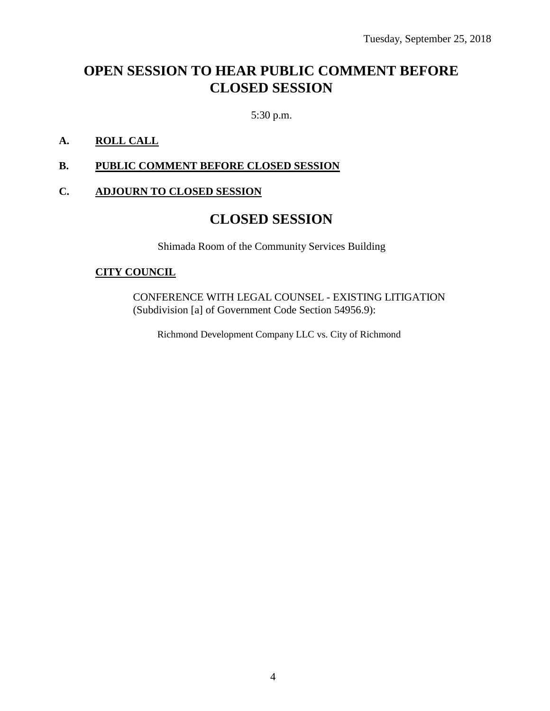# **OPEN SESSION TO HEAR PUBLIC COMMENT BEFORE CLOSED SESSION**

5:30 p.m.

### **A. ROLL CALL**

#### **B. PUBLIC COMMENT BEFORE CLOSED SESSION**

#### **C. ADJOURN TO CLOSED SESSION**

## **CLOSED SESSION**

Shimada Room of the Community Services Building

#### **CITY COUNCIL**

CONFERENCE WITH LEGAL COUNSEL - EXISTING LITIGATION (Subdivision [a] of Government Code Section 54956.9):

Richmond Development Company LLC vs. City of Richmond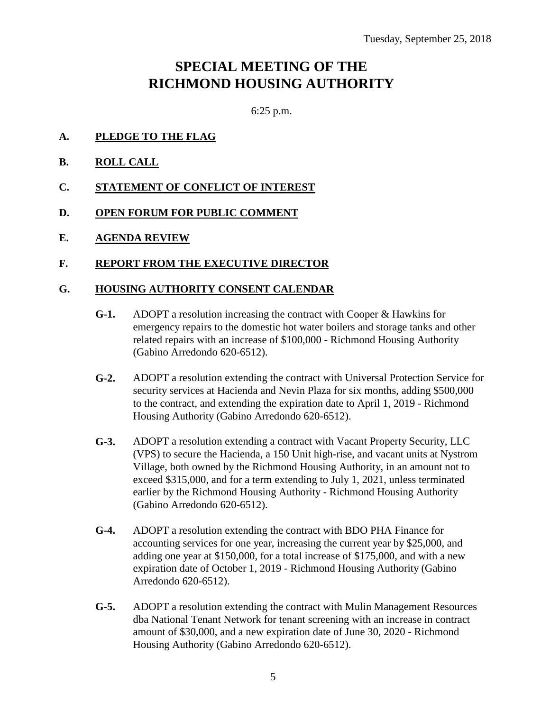# **SPECIAL MEETING OF THE RICHMOND HOUSING AUTHORITY**

6:25 p.m.

- **A. PLEDGE TO THE FLAG**
- **B. ROLL CALL**
- **C. STATEMENT OF CONFLICT OF INTEREST**
- **D. OPEN FORUM FOR PUBLIC COMMENT**
- **E. AGENDA REVIEW**

### **F. REPORT FROM THE EXECUTIVE DIRECTOR**

#### **G. HOUSING AUTHORITY CONSENT CALENDAR**

- **G-1.** ADOPT a resolution increasing the contract with Cooper & Hawkins for emergency repairs to the domestic hot water boilers and storage tanks and other related repairs with an increase of \$100,000 - Richmond Housing Authority (Gabino Arredondo 620-6512).
- **G-2.** ADOPT a resolution extending the contract with Universal Protection Service for security services at Hacienda and Nevin Plaza for six months, adding \$500,000 to the contract, and extending the expiration date to April 1, 2019 - Richmond Housing Authority (Gabino Arredondo 620-6512).
- **G-3.** ADOPT a resolution extending a contract with Vacant Property Security, LLC (VPS) to secure the Hacienda, a 150 Unit high-rise, and vacant units at Nystrom Village, both owned by the Richmond Housing Authority, in an amount not to exceed \$315,000, and for a term extending to July 1, 2021, unless terminated earlier by the Richmond Housing Authority - Richmond Housing Authority (Gabino Arredondo 620-6512).
- **G-4.** ADOPT a resolution extending the contract with BDO PHA Finance for accounting services for one year, increasing the current year by \$25,000, and adding one year at \$150,000, for a total increase of \$175,000, and with a new expiration date of October 1, 2019 - Richmond Housing Authority (Gabino Arredondo 620-6512).
- **G-5.** ADOPT a resolution extending the contract with Mulin Management Resources dba National Tenant Network for tenant screening with an increase in contract amount of \$30,000, and a new expiration date of June 30, 2020 - Richmond Housing Authority (Gabino Arredondo 620-6512).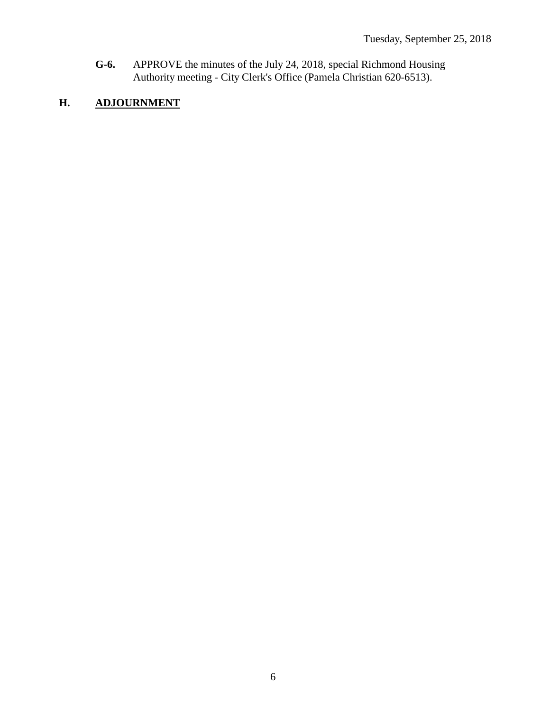**G-6.** APPROVE the minutes of the July 24, 2018, special Richmond Housing Authority meeting - City Clerk's Office (Pamela Christian 620-6513).

## **H. ADJOURNMENT**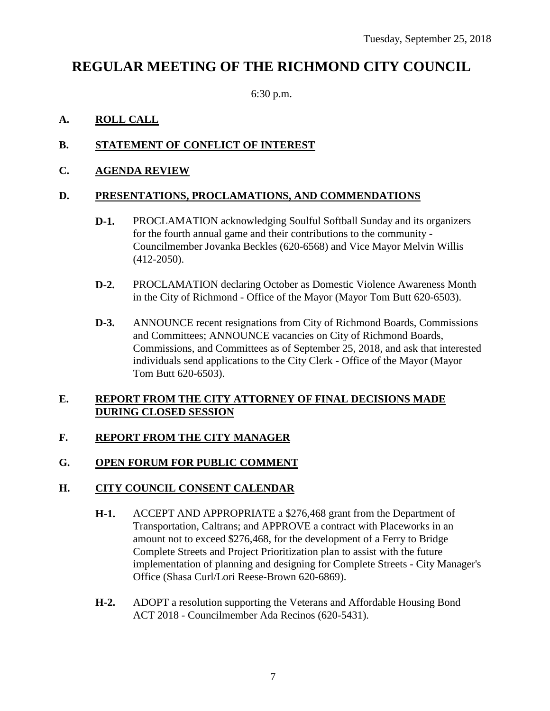# **REGULAR MEETING OF THE RICHMOND CITY COUNCIL**

6:30 p.m.

## **A. ROLL CALL**

## **B. STATEMENT OF CONFLICT OF INTEREST**

## **C. AGENDA REVIEW**

### **D. PRESENTATIONS, PROCLAMATIONS, AND COMMENDATIONS**

- **D-1.** PROCLAMATION acknowledging Soulful Softball Sunday and its organizers for the fourth annual game and their contributions to the community - Councilmember Jovanka Beckles (620-6568) and Vice Mayor Melvin Willis (412-2050).
- **D-2.** PROCLAMATION declaring October as Domestic Violence Awareness Month in the City of Richmond - Office of the Mayor (Mayor Tom Butt 620-6503).
- **D-3.** ANNOUNCE recent resignations from City of Richmond Boards, Commissions and Committees; ANNOUNCE vacancies on City of Richmond Boards, Commissions, and Committees as of September 25, 2018, and ask that interested individuals send applications to the City Clerk - Office of the Mayor (Mayor Tom Butt 620-6503).

### **E. REPORT FROM THE CITY ATTORNEY OF FINAL DECISIONS MADE DURING CLOSED SESSION**

## **F. REPORT FROM THE CITY MANAGER**

## **G. OPEN FORUM FOR PUBLIC COMMENT**

## **H. CITY COUNCIL CONSENT CALENDAR**

- **H-1.** ACCEPT AND APPROPRIATE a \$276,468 grant from the Department of Transportation, Caltrans; and APPROVE a contract with Placeworks in an amount not to exceed \$276,468, for the development of a Ferry to Bridge Complete Streets and Project Prioritization plan to assist with the future implementation of planning and designing for Complete Streets - City Manager's Office (Shasa Curl/Lori Reese-Brown 620-6869).
- **H-2.** ADOPT a resolution supporting the Veterans and Affordable Housing Bond ACT 2018 - Councilmember Ada Recinos (620-5431).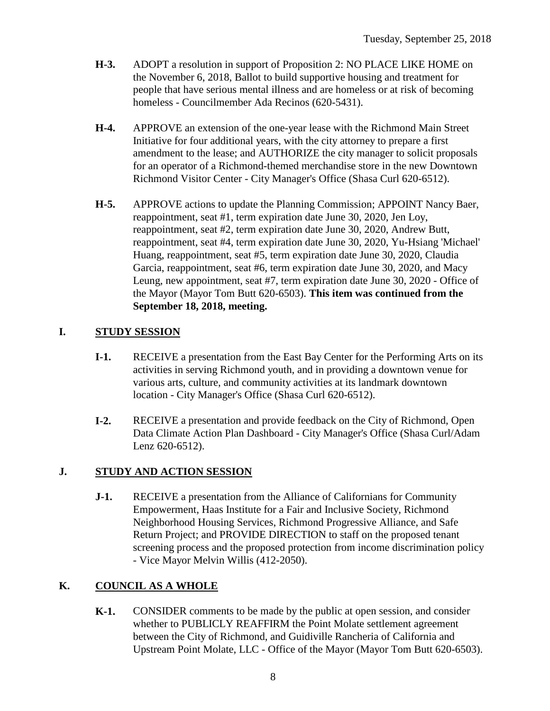- **H-3.** ADOPT a resolution in support of Proposition 2: NO PLACE LIKE HOME on the November 6, 2018, Ballot to build supportive housing and treatment for people that have serious mental illness and are homeless or at risk of becoming homeless - Councilmember Ada Recinos (620-5431).
- **H-4.** APPROVE an extension of the one-year lease with the Richmond Main Street Initiative for four additional years, with the city attorney to prepare a first amendment to the lease; and AUTHORIZE the city manager to solicit proposals for an operator of a Richmond-themed merchandise store in the new Downtown Richmond Visitor Center - City Manager's Office (Shasa Curl 620-6512).
- **H-5.** APPROVE actions to update the Planning Commission; APPOINT Nancy Baer, reappointment, seat #1, term expiration date June 30, 2020, Jen Loy, reappointment, seat #2, term expiration date June 30, 2020, Andrew Butt, reappointment, seat #4, term expiration date June 30, 2020, Yu-Hsiang 'Michael' Huang, reappointment, seat #5, term expiration date June 30, 2020, Claudia Garcia, reappointment, seat #6, term expiration date June 30, 2020, and Macy Leung, new appointment, seat #7, term expiration date June 30, 2020 - Office of the Mayor (Mayor Tom Butt 620-6503). **This item was continued from the September 18, 2018, meeting.**

## **I. STUDY SESSION**

- **I-1.** RECEIVE a presentation from the East Bay Center for the Performing Arts on its activities in serving Richmond youth, and in providing a downtown venue for various arts, culture, and community activities at its landmark downtown location - City Manager's Office (Shasa Curl 620-6512).
- **I-2.** RECEIVE a presentation and provide feedback on the City of Richmond, Open Data Climate Action Plan Dashboard - City Manager's Office (Shasa Curl/Adam Lenz 620-6512).

## **J. STUDY AND ACTION SESSION**

**J-1.** RECEIVE a presentation from the Alliance of Californians for Community Empowerment, Haas Institute for a Fair and Inclusive Society, Richmond Neighborhood Housing Services, Richmond Progressive Alliance, and Safe Return Project; and PROVIDE DIRECTION to staff on the proposed tenant screening process and the proposed protection from income discrimination policy - Vice Mayor Melvin Willis (412-2050).

## **K. COUNCIL AS A WHOLE**

**K-1.** CONSIDER comments to be made by the public at open session, and consider whether to PUBLICLY REAFFIRM the Point Molate settlement agreement between the City of Richmond, and Guidiville Rancheria of California and Upstream Point Molate, LLC - Office of the Mayor (Mayor Tom Butt 620-6503).